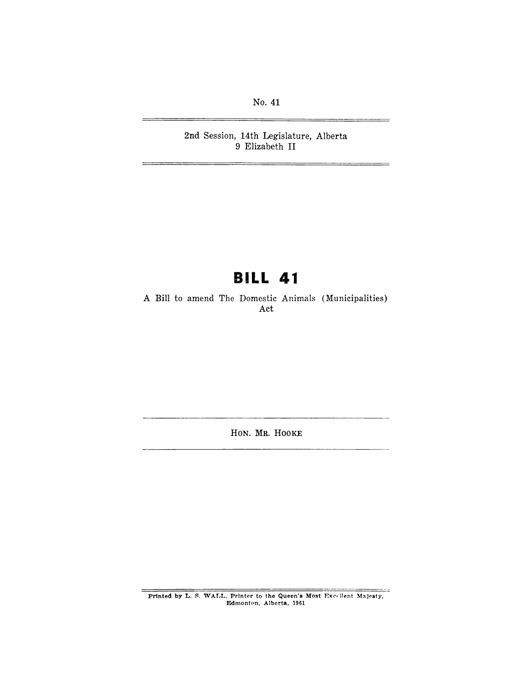No. 41

2nd Session, 14th Legislature, Alberta 9 Elizabeth II

# **BILL 41**

A Bill to amend The Domestic Animals (Municipalities) Act

HON. MR. HOOKE

Printed by L. S. WALL, Printer to the Queen's Most Excellent Majesty, Edmonton, Alberta, 1961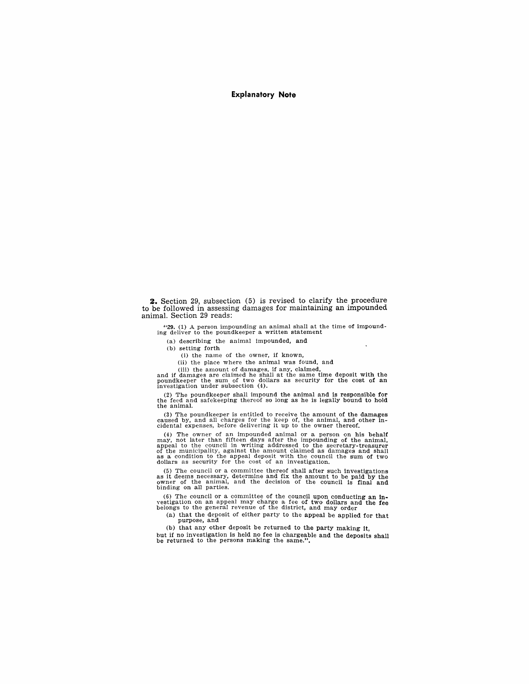#### **Explanatory Note**

**2.** Section 29, subsection (5) is revised to clarify the procedure to be followed in assessing damages for maintaining an impounded animal. Section 29 reads:

"29. (1) A person impounding an animal shall at the time of impound-ing deliver to the poundkeeper a written statement

(a) describing the animal impounded, and

(b) setting forth

(i) the name of the owner, if known,

(ii) the place where the animal was found, and

(iii) the amount of damages, if any, claimed, and if damages are claimed he shall at the same time deposit with the poundkeeper the sum of two dollars as security for the cost of an investigation under subsection (4).

(2) The poundkeeper shall impound the animal and is responsible for the feed and safekeeping thereof so long as he is legally bound to hold the animal.

(3) The poundkeeper is entitled to receive the amount of the damages caused by, and all charges for the keep of, the animal, and other in-cidental expenses, before delivering it up to the owner thereof.

(4) The owner of an impounded animal or a person on his behalf may, not later than fifteen days after the impounding of the animal, appeal to the council in writing addressed to the secretary-treasurer of the municipality

(5) The council or a committee thereof shall after such investigations as it deems necessary, determine and fix the amount to be paid by the owner of the animal, and the decision of the council is final and binding on all

(6) The council or a committee of the council upon conducting an in-vestigation on an appeal may charge a fee of two dollars and the fee belongs to the general revenue of the district, and may order

(a) that the deposit of either party to the appeal be applied for that purpose, and

(b) that any other deposit be returned to the party making it,

but if no investigation is held no fee is chargeable and the deposits shall be returned to the persons making the same.".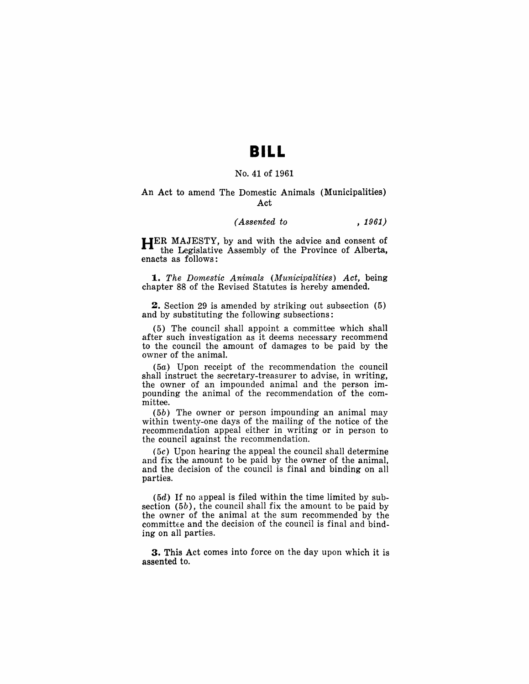### **BILL**

#### No. 41 of 1961

#### An Act to amend The Domestic Animals (Municipalities) Act

### *(Assented to* , 1961)

HER MAJESTY, by and with the advice and consent of the Legislative Assembly of the Province of Alberta, enacts as follows:

*1. The Domestic Animals (Municipalities) Act,* being chapter 88 of the Revised Statutes is hereby amended.

2. Section 29 is amended by striking out subsection (5) and by substituting the following subsections:

(5) The council shall appoint a committee which shall after such investigation as it deems necessary recommend to the council the amount of damages to be paid by the owner of the animal.

(5a) Upon receipt of the recommendation the council shall instruct the secretary-treasurer to advise, in writing, the owner of an impounded animal and the person impounding the animal of the recommendation of the committee.

(5b) The owner or person impounding an animal may within twenty-one days of the mailing of the notice of the recommendation appeal either in writing or in person to the council against the recommendation.

(5c) Upon hearing the appeal the council shall determine and fix the amount to be paid by the owner of the animal, and the decision of the council is final and binding on all parties.

(5d) If no appeal is filed within the time limited by subsection (5b), the council shall fix the amount to be paid by the owner of the animal at the sum recommended by the committee and the decision of the council is final and binding on all parties.

3. This Act comes into force on the day upon which it is assented to.